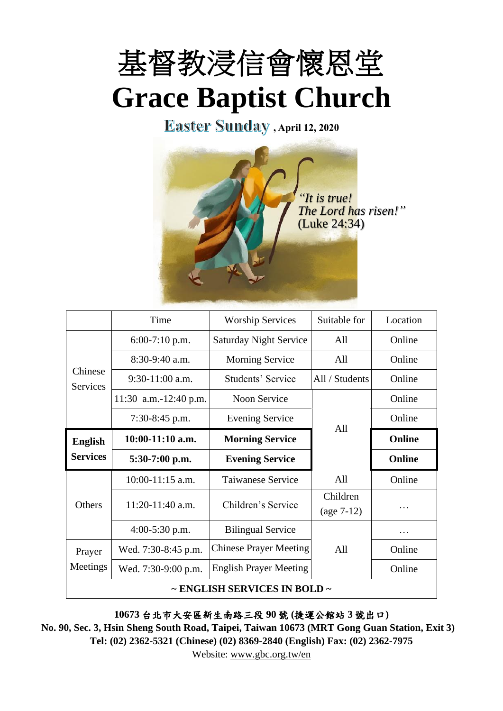

**Easter Sunday**, April 12, 2020



|                                   | Time                  | <b>Worship Services</b>                 | Suitable for             | Location      |
|-----------------------------------|-----------------------|-----------------------------------------|--------------------------|---------------|
| Chinese<br><b>Services</b>        | $6:00-7:10$ p.m.      | <b>Saturday Night Service</b>           | All                      | Online        |
|                                   | $8:30-9:40$ a.m.      | <b>Morning Service</b>                  | All                      | Online        |
|                                   | $9:30-11:00$ a.m.     | Students' Service<br>All / Students     |                          | Online        |
|                                   | 11:30 a.m.-12:40 p.m. | Noon Service                            |                          | Online        |
|                                   | 7:30-8:45 p.m.        | <b>Evening Service</b>                  |                          | Online        |
| <b>English</b><br><b>Services</b> | $10:00-11:10$ a.m.    | All<br>Online<br><b>Morning Service</b> |                          |               |
|                                   | $5:30-7:00$ p.m.      | <b>Evening Service</b>                  |                          | <b>Online</b> |
| Others<br>Prayer<br>Meetings      | $10:00-11:15$ a.m.    | <b>Taiwanese Service</b>                | A11                      | Online        |
|                                   | $11:20-11:40$ a.m.    | Children's Service                      | Children<br>$(age 7-12)$ | .             |
|                                   | $4:00-5:30$ p.m.      | <b>Bilingual Service</b>                |                          | .             |
|                                   | Wed. 7:30-8:45 p.m.   | <b>Chinese Prayer Meeting</b>           | All                      | Online        |
|                                   | Wed. 7:30-9:00 p.m.   | <b>English Prayer Meeting</b>           |                          | Online        |
| ~ ENGLISH SERVICES IN BOLD ~      |                       |                                         |                          |               |

**10673** 台北市大安區新生南路三段 **90** 號 **(**捷運公館站 **3** 號出口**)**

**No. 90, Sec. 3, Hsin Sheng South Road, Taipei, Taiwan 10673 (MRT Gong Guan Station, Exit 3) Tel: (02) 2362-5321 (Chinese) (02) 8369-2840 (English) Fax: (02) 2362-7975**

Website: [www.gbc.org.tw/en](http://www.gbc.org.tw/en)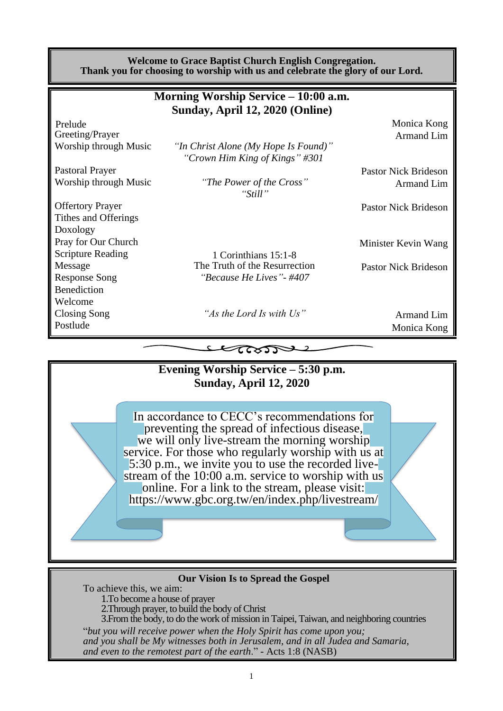| <b>Welcome to Grace Baptist Church English Congregation.</b><br>Thank you for choosing to worship with us and celebrate the glory of our Lord. |                                                                        |                             |  |  |  |  |
|------------------------------------------------------------------------------------------------------------------------------------------------|------------------------------------------------------------------------|-----------------------------|--|--|--|--|
| Morning Worship Service – 10:00 a.m.                                                                                                           |                                                                        |                             |  |  |  |  |
|                                                                                                                                                | Sunday, April 12, 2020 (Online)                                        |                             |  |  |  |  |
| Prelude                                                                                                                                        |                                                                        | Monica Kong                 |  |  |  |  |
| Greeting/Prayer                                                                                                                                |                                                                        | Armand Lim                  |  |  |  |  |
| Worship through Music                                                                                                                          | "In Christ Alone (My Hope Is Found)"<br>"Crown Him King of Kings" #301 |                             |  |  |  |  |
| <b>Pastoral Prayer</b>                                                                                                                         |                                                                        | <b>Pastor Nick Brideson</b> |  |  |  |  |
| Worship through Music                                                                                                                          | "The Power of the Cross"<br>"Still"                                    | Armand Lim                  |  |  |  |  |
| <b>Offertory Prayer</b>                                                                                                                        |                                                                        | <b>Pastor Nick Brideson</b> |  |  |  |  |
| Tithes and Offerings                                                                                                                           |                                                                        |                             |  |  |  |  |
| Doxology                                                                                                                                       |                                                                        |                             |  |  |  |  |
| Pray for Our Church                                                                                                                            |                                                                        | Minister Kevin Wang         |  |  |  |  |
| <b>Scripture Reading</b>                                                                                                                       | 1 Corinthians 15:1-8                                                   |                             |  |  |  |  |
| Message                                                                                                                                        | The Truth of the Resurrection                                          | <b>Pastor Nick Brideson</b> |  |  |  |  |
| <b>Response Song</b>                                                                                                                           | "Because He Lives" - #407                                              |                             |  |  |  |  |
| <b>Benediction</b>                                                                                                                             |                                                                        |                             |  |  |  |  |
| Welcome                                                                                                                                        |                                                                        |                             |  |  |  |  |
| Closing Song                                                                                                                                   | "As the Lord Is with Us"                                               | Armand Lim                  |  |  |  |  |
| Postlude                                                                                                                                       |                                                                        | Monica Kong                 |  |  |  |  |

 $\epsilon$ 



#### **Our Vision Is to Spread the Gospel**

To achieve this, we aim: 1.To become a house of prayer 2.Through prayer, to build the body of Christ 3.From the body, to do the work of mission in Taipei, Taiwan, and neighboring countries "*but you will receive power when the Holy Spirit has come upon you; and you shall be My witnesses both in Jerusalem, and in all Judea and Samaria, and even to the remotest part of the earth*." - Acts 1:8 (NASB)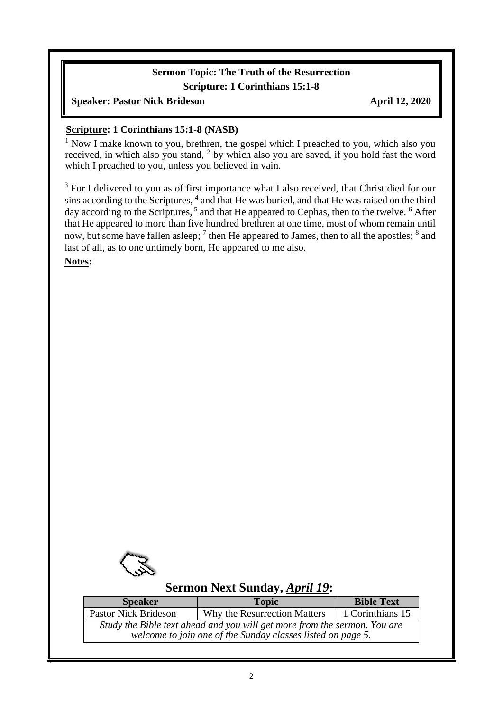#### **Sermon Topic: The Truth of the Resurrection Scripture: 1 Corinthians 15:1-8**

#### **Speaker: Pastor Nick Brideson April 12, 2020**

#### **Scripture: 1 Corinthians 15:1-8 (NASB)**

 $1$  Now I make known to you, brethren, the gospel which I preached to you, which also you received, in which also you stand, <sup>2</sup> by which also you are saved, if you hold fast the word which I preached to you, unless you believed in vain.

<sup>3</sup> For I delivered to you as of first importance what I also received, that Christ died for our sins according to the Scriptures,  $4$  and that He was buried, and that He was raised on the third day according to the Scriptures, <sup>5</sup> and that He appeared to Cephas, then to the twelve. <sup>6</sup> After that He appeared to more than five hundred brethren at one time, most of whom remain until now, but some have fallen asleep;  $^7$  then He appeared to James, then to all the apostles;  $^8$  and last of all, as to one untimely born, He appeared to me also.

**Notes:**



 $\overline{\phantom{a}}$ 

# **Sermon Next Sunday,** *April 19***:**

| <b>Speaker</b>                                                                                                                           | <b>Topic</b>                 | <b>Bible Text</b> |  |  |  |
|------------------------------------------------------------------------------------------------------------------------------------------|------------------------------|-------------------|--|--|--|
| <b>Pastor Nick Brideson</b>                                                                                                              | Why the Resurrection Matters | 1 Corinthians 15  |  |  |  |
| Study the Bible text ahead and you will get more from the sermon. You are<br>welcome to join one of the Sunday classes listed on page 5. |                              |                   |  |  |  |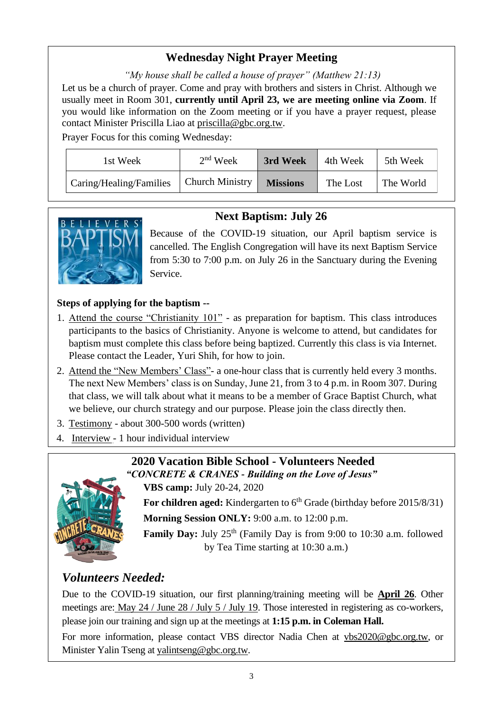# **Wednesday Night Prayer Meeting**

*"My house shall be called a house of prayer" (Matthew 21:13)* Let us be a church of prayer. Come and pray with brothers and sisters in Christ. Although we usually meet in Room 301, **currently until April 23, we are meeting online via Zoom**. If you would like information on the Zoom meeting or if you have a prayer request, please contact Minister Priscilla Liao at [priscilla@gbc.org.tw.](mailto:priscilla@gbc.org.tw)

Prayer Focus for this coming Wednesday:

| 1st Week                | $2nd$ Week             | 3rd Week        | 4th Week | 5th Week  |
|-------------------------|------------------------|-----------------|----------|-----------|
| Caring/Healing/Families | <b>Church Ministry</b> | <b>Missions</b> | The Lost | The World |

# **Next Baptism: July 26**



Because of the COVID-19 situation, our April baptism service is cancelled. The English Congregation will have its next Baptism Service from 5:30 to 7:00 p.m. on July 26 in the Sanctuary during the Evening Service.

### **Steps of applying for the baptism --**

- 1. Attend the course "Christianity 101" as preparation for baptism. This class introduces participants to the basics of Christianity. Anyone is welcome to attend, but candidates for baptism must complete this class before being baptized. Currently this class is via Internet. Please contact the Leader, Yuri Shih, for how to join.
- 2. Attend the "New Members' Class"- a one-hour class that is currently held every 3 months. The next New Members' class is on Sunday, June 21, from 3 to 4 p.m. in Room 307. During that class, we will talk about what it means to be a member of Grace Baptist Church, what we believe, our church strategy and our purpose. Please join the class directly then.
- 3. Testimony about 300-500 words (written)
- 4. Interview 1 hour individual interview



#### **2020 Vacation Bible School - Volunteers Needed** *"CONCRETE & CRANES - Building on the Love of Jesus"*

**VBS camp:** July 20-24, 2020

For children aged: Kindergarten to 6<sup>th</sup> Grade (birthday before 2015/8/31)

**Morning Session ONLY:** 9:00 a.m. to 12:00 p.m.

**Family Day:** July 25<sup>th</sup> (Family Day is from 9:00 to 10:30 a.m. followed by Tea Time starting at 10:30 a.m.)

# *Volunteers Needed:*

Due to the COVID-19 situation, our first planning/training meeting will be **April 26**. Other meetings are: May 24 / June 28 / July 5 / July 19. Those interested in registering as co-workers, please join our training and sign up at the meetings at **1:15 p.m. in Coleman Hall.**

For more information, please contact VBS director Nadia Chen at [vbs2020@gbc.org.tw,](mailto:vbs2020@gbc.org.tw) or Minister Yalin Tseng at [yalintseng@gbc.org.tw.](mailto:yalintseng@gbc.org.tw)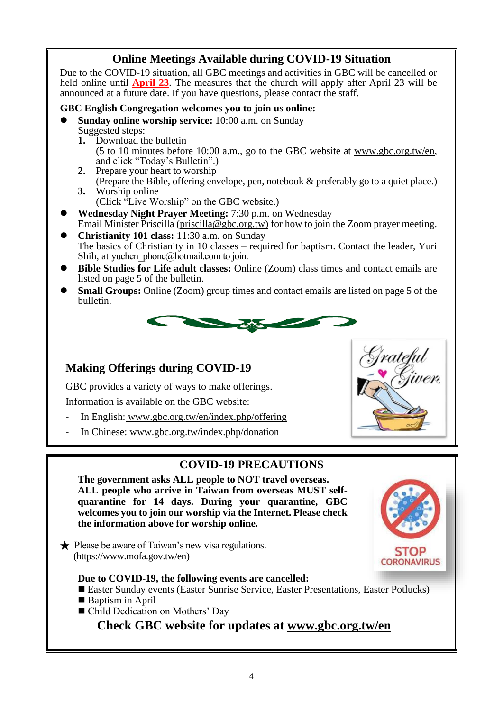## **Online Meetings Available during COVID-19 Situation**

Due to the COVID-19 situation, all GBC meetings and activities in GBC will be cancelled or held online until **April 23**. The measures that the church will apply after April 23 will be announced at a future date. If you have questions, please contact the staff.

#### **GBC English Congregation welcomes you to join us online:**

- ⚫ **Sunday online worship service:** 10:00 a.m. on Sunday Suggested steps:
	- **1.** Download the bulletin (5 to 10 minutes before 10:00 a.m., go to the GBC website at www.gbc.org.tw/en, and click "Today's Bulletin".)
	- **2.** Prepare your heart to worship
	- (Prepare the Bible, offering envelope, pen, notebook & preferably go to a quiet place.) **3.** Worship online
		- (Click "Live Worship" on the GBC website.)
- ⚫ **Wednesday Night Prayer Meeting:** 7:30 p.m. on Wednesday Email Minister Priscilla [\(priscilla@gbc.org.tw\)](mailto:priscilla@gbc.org.tw) for how to join the Zoom prayer meeting.
- ⚫ **Christianity 101 class:** 11:30 a.m. on Sunday The basics of Christianity in 10 classes – required for baptism. Contact the leader, Yuri Shih, at yuchen phone@hotmail.com to join.
- ⚫ **Bible Studies for Life adult classes:** Online (Zoom) class times and contact emails are listed on page 5 of the bulletin.
- **Small Groups:** Online (Zoom) group times and contact emails are listed on page 5 of the bulletin.



### **Making Offerings during COVID-19**

GBC provides a variety of ways to make offerings.

Information is available on the GBC website:

- In English: [www.gbc.org.tw/en/index.php/offering](http://www.gbc.org.tw/en/index.php/offering/)
- In Chinese: www.gbc.org.tw/index.php/donation

### **COVID-19 PRECAUTIONS**

**The government asks ALL people to NOT travel overseas. ALL people who arrive in Taiwan from overseas MUST selfquarantine for 14 days. During your quarantine, GBC welcomes you to join our worship via the Internet. Please check the information above for worship online.**

★ Please be aware of Taiwan's new visa regulations. [\(https://www.mofa.gov.tw/en\)](https://www.mofa.gov.tw/en/)

#### **Due to COVID-19, the following events are cancelled:**

- Easter Sunday events (Easter Sunrise Service, Easter Presentations, Easter Potlucks)
- Baptism in April
- Child Dedication on Mothers' Day

**Check GBC website for updates at [www.gbc.org.tw/en](http://www.gbc.org.tw/en)**



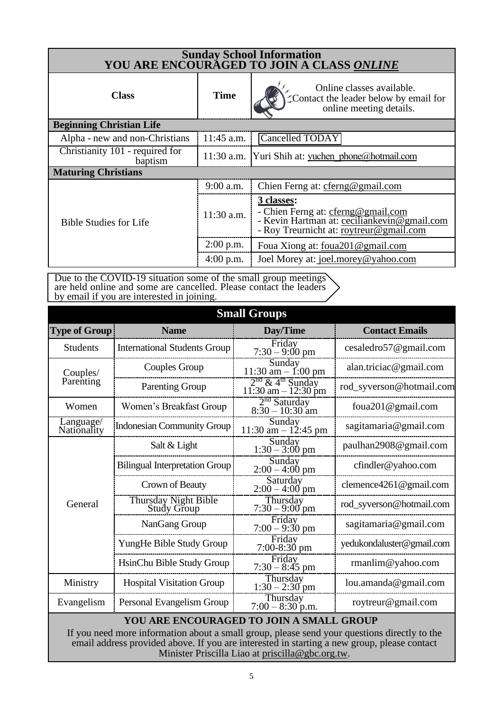| Sunday School Information<br>YOU ARE ENCOURAGED TO JOIN A CLASS ONLINE |              |                                                                                                                                            |  |  |  |
|------------------------------------------------------------------------|--------------|--------------------------------------------------------------------------------------------------------------------------------------------|--|--|--|
| <b>Class</b>                                                           | <b>Time</b>  | Online classes available.<br>Contact the leader below by email for<br>online meeting details.                                              |  |  |  |
| <b>Beginning Christian Life</b>                                        |              |                                                                                                                                            |  |  |  |
| Alpha - new and non-Christians                                         | $11:45$ a.m. | Cancelled TODAY                                                                                                                            |  |  |  |
| Christianity 101 - required for<br>baptism                             |              | 11:30 a.m. Yuri Shih at: yuchen phone@hotmail.com                                                                                          |  |  |  |
| <b>Maturing Christians</b>                                             |              |                                                                                                                                            |  |  |  |
|                                                                        | 9:00 a.m.    | Chien Ferng at: cferng@gmail.com                                                                                                           |  |  |  |
| <b>Bible Studies for Life</b>                                          | $11:30$ a.m. | 3 classes:<br>- Chien Ferng at: cferng@gmail.com<br>- Kevin Hartman at: ceciliankevin@gmail.com<br>- Roy Treurnicht at: roytreur@gmail.com |  |  |  |
|                                                                        | $2:00$ p.m.  | Foua Xiong at: foua201@gmail.com                                                                                                           |  |  |  |
|                                                                        | $4:00$ p.m.  | Joel Morey at: joel.morey@yahoo.com                                                                                                        |  |  |  |

Due to the COVID-19 situation some of the small group meetings are held online and some are cancelled. Please contact the leaders by email if you are interested in joining.

| <b>Small Groups</b>                                                                                                                                                                                                                                                                         |                                            |                                                                    |                           |  |  |
|---------------------------------------------------------------------------------------------------------------------------------------------------------------------------------------------------------------------------------------------------------------------------------------------|--------------------------------------------|--------------------------------------------------------------------|---------------------------|--|--|
| <b>Type of Group</b>                                                                                                                                                                                                                                                                        | <b>Name</b>                                | Day/Time                                                           | <b>Contact Emails</b>     |  |  |
| <b>Students</b>                                                                                                                                                                                                                                                                             | <b>International Students Group</b>        | Friday<br>$7:30 - 9:00$ pm                                         | cesaledro57@gmail.com     |  |  |
| Couples/                                                                                                                                                                                                                                                                                    | Couples Group                              | Sunday<br>$11:30$ am $- 1:00$ pm                                   | alan.triciac@gmail.com    |  |  |
| Parenting                                                                                                                                                                                                                                                                                   | <b>Parenting Group</b>                     | 2 <sup>nd</sup> & 4 <sup>th</sup> Sunday<br>$11:30$ am $-12:30$ pm | rod_syverson@hotmail.com  |  |  |
| Women                                                                                                                                                                                                                                                                                       | Women's Breakfast Group                    | $2nd$ Saturday<br>8:30 – 10:30 am                                  | foua201@gmail.com         |  |  |
| $\overline{\text{L}}$ anguage/<br>Nationality                                                                                                                                                                                                                                               | <b>Indonesian Community Group</b>          | Sunday<br>11:30 am $- 12:45$ pm                                    | sagitamaria@gmail.com     |  |  |
|                                                                                                                                                                                                                                                                                             | Salt & Light                               | Sunday<br>$1:30-3:00$ pm                                           | paulhan2908@gmail.com     |  |  |
|                                                                                                                                                                                                                                                                                             | <b>Bilingual Interpretation Group</b>      | Sunday<br>$2:00-4:00$ pm                                           | cfindler@yahoo.com        |  |  |
|                                                                                                                                                                                                                                                                                             | Crown of Beauty                            | Saturday<br>$2:00 - 4:00$ pm                                       | clemence4261@gmail.com    |  |  |
| General                                                                                                                                                                                                                                                                                     | <b>Thursday Night Bible</b><br>Study Group | Thursday<br>$7:30 - 9:00$ pm                                       | rod_syverson@hotmail.com  |  |  |
|                                                                                                                                                                                                                                                                                             | NanGang Group                              | Friday<br>$7:00 - 9:30$ pm                                         | sagitamaria@gmail.com     |  |  |
|                                                                                                                                                                                                                                                                                             | YungHe Bible Study Group                   | Friday<br>$7:00-8:30$ pm                                           | yedukondaluster@gmail.com |  |  |
|                                                                                                                                                                                                                                                                                             | HsinChu Bible Study Group                  | Friday<br>$7:30 - 8:45$ pm                                         | rmanlim@yahoo.com         |  |  |
| Ministry                                                                                                                                                                                                                                                                                    | <b>Hospital Visitation Group</b>           | Thursday<br>$1:30-2:30$ pm                                         | lou.amanda@gmail.com      |  |  |
| Evangelism                                                                                                                                                                                                                                                                                  | Personal Evangelism Group                  | Thursday<br>$7:00 - 8:30$ p.m.                                     | roytreur@gmail.com        |  |  |
| YOU ARE ENCOURAGED TO JOIN A SMALL GROUP<br>If you need more information about a small group, please send your questions directly to the<br>email address provided above. If you are interested in starting a new group, please contact<br>Minister Priscilla Liao at priscilla@gbc.org.tw. |                                            |                                                                    |                           |  |  |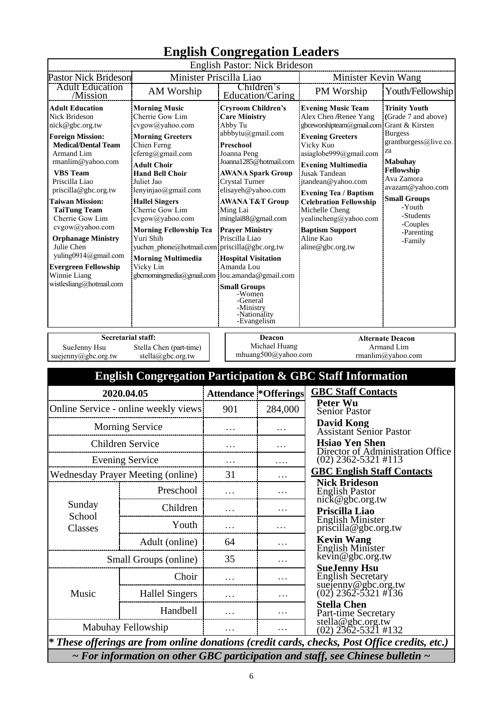|                                                                                                                                                                                                                                                                                                                                                                                                                                                          | English Congregation Leaguers<br>English Pastor: Nick Brideson                                                                                                                                                                                                                                                                                                       |                                                                                                                                                                                                                                                                                                                                                                                                                                                                                                                                                                                              |          |                                                |                                                                                                                                                                                                                                                                                                                                                                                                                                                                                                                                                                                                                                                                             |  |
|----------------------------------------------------------------------------------------------------------------------------------------------------------------------------------------------------------------------------------------------------------------------------------------------------------------------------------------------------------------------------------------------------------------------------------------------------------|----------------------------------------------------------------------------------------------------------------------------------------------------------------------------------------------------------------------------------------------------------------------------------------------------------------------------------------------------------------------|----------------------------------------------------------------------------------------------------------------------------------------------------------------------------------------------------------------------------------------------------------------------------------------------------------------------------------------------------------------------------------------------------------------------------------------------------------------------------------------------------------------------------------------------------------------------------------------------|----------|------------------------------------------------|-----------------------------------------------------------------------------------------------------------------------------------------------------------------------------------------------------------------------------------------------------------------------------------------------------------------------------------------------------------------------------------------------------------------------------------------------------------------------------------------------------------------------------------------------------------------------------------------------------------------------------------------------------------------------------|--|
| Minister Priscilla Liao<br><b>Pastor Nick Brideson</b>                                                                                                                                                                                                                                                                                                                                                                                                   |                                                                                                                                                                                                                                                                                                                                                                      |                                                                                                                                                                                                                                                                                                                                                                                                                                                                                                                                                                                              |          |                                                | Minister Kevin Wang                                                                                                                                                                                                                                                                                                                                                                                                                                                                                                                                                                                                                                                         |  |
| <b>Adult Education</b><br>/Mission                                                                                                                                                                                                                                                                                                                                                                                                                       | AM Worship                                                                                                                                                                                                                                                                                                                                                           |                                                                                                                                                                                                                                                                                                                                                                                                                                                                                                                                                                                              |          | Children's                                     | Youth/Fellowship<br>PM Worship                                                                                                                                                                                                                                                                                                                                                                                                                                                                                                                                                                                                                                              |  |
| <b>Adult Education</b><br>Nick Brideson<br>nick@gbc.org.tw<br><b>Foreign Mission:</b><br><b>Medical/Dental Team</b><br>Armand Lim<br>rmanlim@yahoo.com<br><b>VBS</b> Team<br>Priscilla Liao<br>priscilla@gbc.org.tw<br><b>Taiwan Mission:</b><br><b>TaiTung Team</b><br>Cherrie Gow Lim<br>cvgow@yahoo.com<br><b>Orphanage Ministry</b><br>Julie Chen<br>yuling0914@gmail.com<br><b>Evergreen Fellowship</b><br>Winnie Liang<br>wistlesliang@hotmail.com | <b>Morning Music</b><br>Cherrie Gow Lim<br>cvgow@yahoo.com<br><b>Morning Greeters</b><br>Chien Ferng<br>cferng@gmail.com<br><b>Adult Choir</b><br><b>Hand Bell Choir</b><br>Juliet Jao<br>lenyinjao@gmail.com<br><b>Hallel Singers</b><br>Cherrie Gow Lim<br>cvgow@yahoo.com<br><b>Morning Fellowship Tea</b><br>Yuri Shih<br><b>Morning Multimedia</b><br>Vicky Lin | Education/Caring<br><b>Cryroom Children's</b><br><b>Care Ministry</b><br>Abby Tu<br>abbbytu@gmail.com<br><b>Preschool</b><br>Joanna Peng<br>Joanna1285@hotmail.com<br><b>AWANA Spark Group</b><br>Crystal Turner<br>elisayeh@yahoo.com<br><b>AWANA T&amp;T Group</b><br>Ming Lai<br>minglai88@gmail.com<br><b>Prayer Ministry</b><br>Priscilla Liao<br>yuchen phone@hotmail.com priscilla@gbc.org.tw<br><b>Hospital Visitation</b><br>Amanda Lou<br>gbcmorningmedia@gmail.com  lou.amanda@gmail.com<br><b>Small Groups</b><br>-Women<br>-General<br>-Ministry<br>-Nationality<br>-Evangelism |          |                                                | <b>Evening Music Team</b><br><b>Trinity Youth</b><br>Alex Chen /Renee Yang<br>(Grade 7 and above)<br>gbceworshipteam@gmail.com<br>Grant & Kirsten<br><b>Burgess</b><br><b>Evening Greeters</b><br>grantburgess@live.co.<br>Vicky Kuo<br>za<br>asiaglobe999@gmail.com<br><b>Mabuhay</b><br><b>Evening Multimedia</b><br>Fellowship<br><b>Jusak Tandean</b><br>Ava Zamora<br>jtandean@yahoo.com<br>avazam@yahoo.com<br><b>Evening Tea / Baptism</b><br><b>Small Groups</b><br><b>Celebration Fellowship</b><br>-Youth<br>Michelle Cheng<br>-Students<br>yealincheng@yahoo.com<br>-Couples<br><b>Baptism Support</b><br>-Parenting<br>Aline Kao<br>-Family<br>aline@gbc.org.tw |  |
| <b>Secretarial staff:</b><br>SueJenny Hsu<br>Stella Chen (part-time)<br>suejenny@gbc.org.tw<br>stella@gbc.org.tw                                                                                                                                                                                                                                                                                                                                         |                                                                                                                                                                                                                                                                                                                                                                      |                                                                                                                                                                                                                                                                                                                                                                                                                                                                                                                                                                                              |          | Deacon<br>Michael Huang<br>mhuang500@yahoo.com | <b>Alternate Deacon</b><br>Armand Lim<br>rmanlim@yahoo.com                                                                                                                                                                                                                                                                                                                                                                                                                                                                                                                                                                                                                  |  |
|                                                                                                                                                                                                                                                                                                                                                                                                                                                          |                                                                                                                                                                                                                                                                                                                                                                      |                                                                                                                                                                                                                                                                                                                                                                                                                                                                                                                                                                                              |          |                                                | <b>English Congregation Participation &amp; GBC Staff Information</b>                                                                                                                                                                                                                                                                                                                                                                                                                                                                                                                                                                                                       |  |
| 2020.04.05                                                                                                                                                                                                                                                                                                                                                                                                                                               |                                                                                                                                                                                                                                                                                                                                                                      |                                                                                                                                                                                                                                                                                                                                                                                                                                                                                                                                                                                              |          | <b>Attendance *Offerings</b>                   | <b>GBC Staff Contacts</b>                                                                                                                                                                                                                                                                                                                                                                                                                                                                                                                                                                                                                                                   |  |
| Online Service - online weekly views                                                                                                                                                                                                                                                                                                                                                                                                                     |                                                                                                                                                                                                                                                                                                                                                                      |                                                                                                                                                                                                                                                                                                                                                                                                                                                                                                                                                                                              | 901      | 284,000                                        | <b>Peter Wu</b><br><b>Senior Pastor</b>                                                                                                                                                                                                                                                                                                                                                                                                                                                                                                                                                                                                                                     |  |
| <b>Morning Service</b>                                                                                                                                                                                                                                                                                                                                                                                                                                   |                                                                                                                                                                                                                                                                                                                                                                      |                                                                                                                                                                                                                                                                                                                                                                                                                                                                                                                                                                                              | $\cdots$ |                                                | <b>David Kong</b><br><b>Assistant Senior Pastor</b>                                                                                                                                                                                                                                                                                                                                                                                                                                                                                                                                                                                                                         |  |
| Children Service                                                                                                                                                                                                                                                                                                                                                                                                                                         |                                                                                                                                                                                                                                                                                                                                                                      |                                                                                                                                                                                                                                                                                                                                                                                                                                                                                                                                                                                              | .        | .                                              | <b>Hsiao Yen Shen</b><br>Director of Administration Office                                                                                                                                                                                                                                                                                                                                                                                                                                                                                                                                                                                                                  |  |
| <b>Evening Service</b>                                                                                                                                                                                                                                                                                                                                                                                                                                   |                                                                                                                                                                                                                                                                                                                                                                      |                                                                                                                                                                                                                                                                                                                                                                                                                                                                                                                                                                                              |          | .                                              | $(02)$ 2362-5321 #113                                                                                                                                                                                                                                                                                                                                                                                                                                                                                                                                                                                                                                                       |  |
| <b>Wednesday Prayer Meeting (online)</b>                                                                                                                                                                                                                                                                                                                                                                                                                 |                                                                                                                                                                                                                                                                                                                                                                      |                                                                                                                                                                                                                                                                                                                                                                                                                                                                                                                                                                                              | 31       | $\cdots$                                       | <b>GBC English Staff Contacts</b><br><b>Nick Brideson</b>                                                                                                                                                                                                                                                                                                                                                                                                                                                                                                                                                                                                                   |  |
|                                                                                                                                                                                                                                                                                                                                                                                                                                                          | Preschool                                                                                                                                                                                                                                                                                                                                                            |                                                                                                                                                                                                                                                                                                                                                                                                                                                                                                                                                                                              |          | .                                              | <b>English Pastor</b>                                                                                                                                                                                                                                                                                                                                                                                                                                                                                                                                                                                                                                                       |  |
| Sunday                                                                                                                                                                                                                                                                                                                                                                                                                                                   | Children                                                                                                                                                                                                                                                                                                                                                             |                                                                                                                                                                                                                                                                                                                                                                                                                                                                                                                                                                                              |          | .                                              | nick@gbc.org.tw<br>Priscilla Liao                                                                                                                                                                                                                                                                                                                                                                                                                                                                                                                                                                                                                                           |  |
| School<br>Classes                                                                                                                                                                                                                                                                                                                                                                                                                                        | Youth                                                                                                                                                                                                                                                                                                                                                                |                                                                                                                                                                                                                                                                                                                                                                                                                                                                                                                                                                                              | .        | .                                              | <b>English Minister</b><br>priscilla@gbc.org.tw                                                                                                                                                                                                                                                                                                                                                                                                                                                                                                                                                                                                                             |  |
|                                                                                                                                                                                                                                                                                                                                                                                                                                                          | Adult (online)                                                                                                                                                                                                                                                                                                                                                       |                                                                                                                                                                                                                                                                                                                                                                                                                                                                                                                                                                                              | 64       | .                                              | <b>Kevin Wang</b><br>English Minister                                                                                                                                                                                                                                                                                                                                                                                                                                                                                                                                                                                                                                       |  |
| Small Groups (online)                                                                                                                                                                                                                                                                                                                                                                                                                                    |                                                                                                                                                                                                                                                                                                                                                                      |                                                                                                                                                                                                                                                                                                                                                                                                                                                                                                                                                                                              | 35       | .                                              | kevin@gbc.org.tw                                                                                                                                                                                                                                                                                                                                                                                                                                                                                                                                                                                                                                                            |  |
|                                                                                                                                                                                                                                                                                                                                                                                                                                                          | Choir                                                                                                                                                                                                                                                                                                                                                                |                                                                                                                                                                                                                                                                                                                                                                                                                                                                                                                                                                                              |          | .                                              | <b>SueJenny Hsu</b><br><b>English Secretary</b>                                                                                                                                                                                                                                                                                                                                                                                                                                                                                                                                                                                                                             |  |
| Music                                                                                                                                                                                                                                                                                                                                                                                                                                                    | <b>Hallel Singers</b>                                                                                                                                                                                                                                                                                                                                                |                                                                                                                                                                                                                                                                                                                                                                                                                                                                                                                                                                                              |          | .                                              | suejenny@gbc.org.tw<br>(02) 2362-5321 #136                                                                                                                                                                                                                                                                                                                                                                                                                                                                                                                                                                                                                                  |  |
|                                                                                                                                                                                                                                                                                                                                                                                                                                                          | Handbell                                                                                                                                                                                                                                                                                                                                                             |                                                                                                                                                                                                                                                                                                                                                                                                                                                                                                                                                                                              |          | .                                              | <b>Stella Chen</b><br>Part-time Secretary                                                                                                                                                                                                                                                                                                                                                                                                                                                                                                                                                                                                                                   |  |
| Mabuhay Fellowship                                                                                                                                                                                                                                                                                                                                                                                                                                       |                                                                                                                                                                                                                                                                                                                                                                      |                                                                                                                                                                                                                                                                                                                                                                                                                                                                                                                                                                                              |          | .                                              | stella@gbc.org.tw<br>$(02)$ 2362-5321 #132                                                                                                                                                                                                                                                                                                                                                                                                                                                                                                                                                                                                                                  |  |
|                                                                                                                                                                                                                                                                                                                                                                                                                                                          |                                                                                                                                                                                                                                                                                                                                                                      |                                                                                                                                                                                                                                                                                                                                                                                                                                                                                                                                                                                              |          |                                                | * These offerings are from online donations (credit cards, checks, Post Office credits, etc.)                                                                                                                                                                                                                                                                                                                                                                                                                                                                                                                                                                               |  |
| $\sim$ For information on other GBC participation and staff, see Chinese bulletin $\sim$                                                                                                                                                                                                                                                                                                                                                                 |                                                                                                                                                                                                                                                                                                                                                                      |                                                                                                                                                                                                                                                                                                                                                                                                                                                                                                                                                                                              |          |                                                |                                                                                                                                                                                                                                                                                                                                                                                                                                                                                                                                                                                                                                                                             |  |

# **English Congregation Leaders**